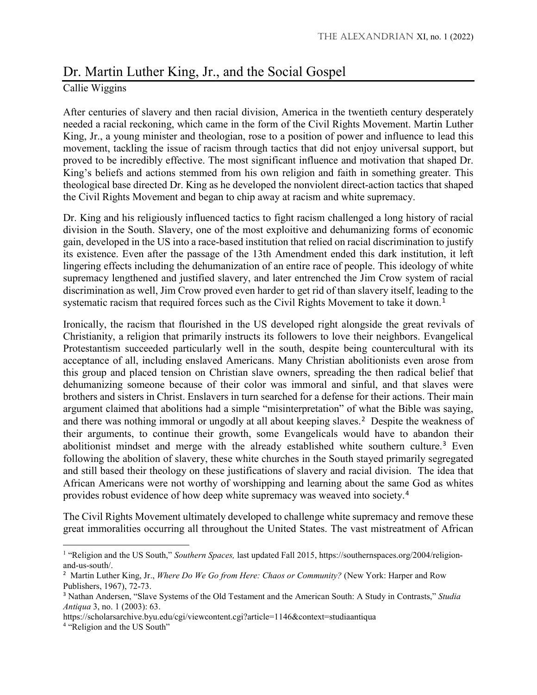## Dr. Martin Luther King, Jr., and the Social Gospel

## Callie Wiggins

After centuries of slavery and then racial division, America in the twentieth century desperately needed a racial reckoning, which came in the form of the Civil Rights Movement. Martin Luther King, Jr., a young minister and theologian, rose to a position of power and influence to lead this movement, tackling the issue of racism through tactics that did not enjoy universal support, but proved to be incredibly effective. The most significant influence and motivation that shaped Dr. King's beliefs and actions stemmed from his own religion and faith in something greater. This theological base directed Dr. King as he developed the nonviolent direct-action tactics that shaped the Civil Rights Movement and began to chip away at racism and white supremacy.

Dr. King and his religiously influenced tactics to fight racism challenged a long history of racial division in the South. Slavery, one of the most exploitive and dehumanizing forms of economic gain, developed in the US into a race-based institution that relied on racial discrimination to justify its existence. Even after the passage of the 13th Amendment ended this dark institution, it left lingering effects including the dehumanization of an entire race of people. This ideology of white supremacy lengthened and justified slavery, and later entrenched the Jim Crow system of racial discrimination as well, Jim Crow proved even harder to get rid of than slavery itself, leading to the systematic racism that required forces such as the Civil Rights Movement to take it down.<sup>[1](#page-0-0)</sup>

Ironically, the racism that flourished in the US developed right alongside the great revivals of Christianity, a religion that primarily instructs its followers to love their neighbors. Evangelical Protestantism succeeded particularly well in the south, despite being countercultural with its acceptance of all, including enslaved Americans. Many Christian abolitionists even arose from this group and placed tension on Christian slave owners, spreading the then radical belief that dehumanizing someone because of their color was immoral and sinful, and that slaves were brothers and sisters in Christ. Enslavers in turn searched for a defense for their actions. Their main argument claimed that abolitions had a simple "misinterpretation" of what the Bible was saying, and there was nothing immoral or ungodly at all about keeping slaves.<sup>[2](#page-0-1)</sup> Despite the weakness of their arguments, to continue their growth, some Evangelicals would have to abandon their abolitionist mindset and merge with the already established white southern culture.<sup>[3](#page-0-2)</sup> Even following the abolition of slavery, these white churches in the South stayed primarily segregated and still based their theology on these justifications of slavery and racial division. The idea that African Americans were not worthy of worshipping and learning about the same God as whites provides robust evidence of how deep white supremacy was weaved into society.[4](#page-0-3)

The Civil Rights Movement ultimately developed to challenge white supremacy and remove these great immoralities occurring all throughout the United States. The vast mistreatment of African

https://scholarsarchive.byu.edu/cgi/viewcontent.cgi?article=1146&context=studiaantiqua

 $\overline{a}$ 

<span id="page-0-0"></span><sup>&</sup>lt;sup>1</sup> "Religion and the US South," *Southern Spaces*, last updated Fall 2015, https://southernspaces.org/2004/religionand-us-south/.

<span id="page-0-1"></span><sup>2</sup> Martin Luther King, Jr., *Where Do We Go from Here: Chaos or Community?* (New York: Harper and Row Publishers, 1967), 72-73.

<span id="page-0-2"></span><sup>3</sup> Nathan Andersen, "Slave Systems of the Old Testament and the American South: A Study in Contrasts," *Studia Antiqua* 3, no. 1 (2003): 63.

<span id="page-0-3"></span><sup>4</sup> "Religion and the US South"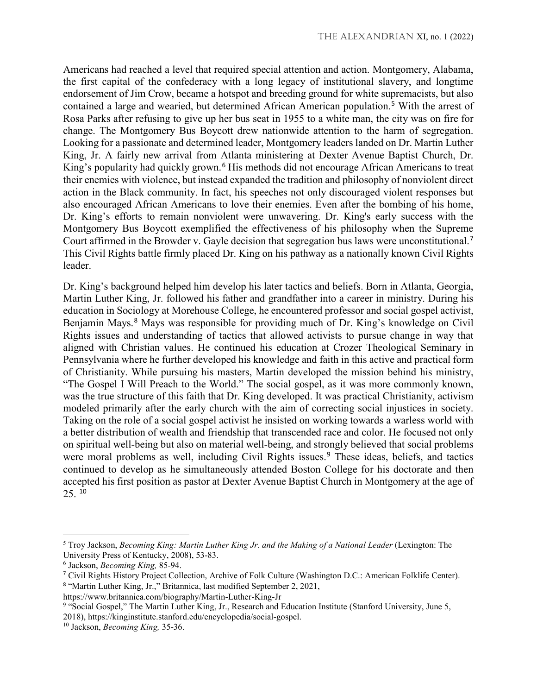Americans had reached a level that required special attention and action. Montgomery, Alabama, the first capital of the confederacy with a long legacy of institutional slavery, and longtime endorsement of Jim Crow, became a hotspot and breeding ground for white supremacists, but also contained a large and wearied, but determined African American population.[5](#page-1-0) With the arrest of Rosa Parks after refusing to give up her bus seat in 1955 to a white man, the city was on fire for change. The Montgomery Bus Boycott drew nationwide attention to the harm of segregation. Looking for a passionate and determined leader, Montgomery leaders landed on Dr. Martin Luther King, Jr. A fairly new arrival from Atlanta ministering at Dexter Avenue Baptist Church, Dr. King's popularity had quickly grown.<sup>[6](#page-1-1)</sup> His methods did not encourage African Americans to treat their enemies with violence, but instead expanded the tradition and philosophy of nonviolent direct action in the Black community. In fact, his speeches not only discouraged violent responses but also encouraged African Americans to love their enemies. Even after the bombing of his home, Dr. King's efforts to remain nonviolent were unwavering. Dr. King's early success with the Montgomery Bus Boycott exemplified the effectiveness of his philosophy when the Supreme Court affirmed in the Browder v. Gayle decision that segregation bus laws were unconstitutional.[7](#page-1-2) This Civil Rights battle firmly placed Dr. King on his pathway as a nationally known Civil Rights leader.

Dr. King's background helped him develop his later tactics and beliefs. Born in Atlanta, Georgia, Martin Luther King, Jr. followed his father and grandfather into a career in ministry. During his education in Sociology at Morehouse College, he encountered professor and social gospel activist, Benjamin Mays.<sup>[8](#page-1-3)</sup> Mays was responsible for providing much of Dr. King's knowledge on Civil Rights issues and understanding of tactics that allowed activists to pursue change in way that aligned with Christian values. He continued his education at Crozer Theological Seminary in Pennsylvania where he further developed his knowledge and faith in this active and practical form of Christianity. While pursuing his masters, Martin developed the mission behind his ministry, "The Gospel I Will Preach to the World." The social gospel, as it was more commonly known, was the true structure of this faith that Dr. King developed. It was practical Christianity, activism modeled primarily after the early church with the aim of correcting social injustices in society. Taking on the role of a social gospel activist he insisted on working towards a warless world with a better distribution of wealth and friendship that transcended race and color. He focused not only on spiritual well-being but also on material well-being, and strongly believed that social problems were moral problems as well, including Civil Rights issues.<sup>[9](#page-1-4)</sup> These ideas, beliefs, and tactics continued to develop as he simultaneously attended Boston College for his doctorate and then accepted his first position as pastor at Dexter Avenue Baptist Church in Montgomery at the age of  $25.10$  $25.10$ 

l

<span id="page-1-0"></span><sup>&</sup>lt;sup>5</sup> Troy Jackson, *Becoming King: Martin Luther King Jr. and the Making of a National Leader (Lexington: The* University Press of Kentucky, 2008), 53-83.

<span id="page-1-1"></span><sup>6</sup> Jackson, *Becoming King,* 85-94.

<span id="page-1-3"></span><span id="page-1-2"></span><sup>7</sup> Civil Rights History Project Collection, Archive of Folk Culture (Washington D.C.: American Folklife Center). <sup>8</sup> "Martin Luther King, Jr.," Britannica, last modified September 2, 2021,

https://www.britannica.com/biography/Martin-Luther-King-Jr

<span id="page-1-4"></span><sup>9</sup> "Social Gospel," The Martin Luther King, Jr., Research and Education Institute (Stanford University, June 5, 2018), https://kinginstitute.stanford.edu/encyclopedia/social-gospel.

<span id="page-1-5"></span><sup>10</sup> Jackson, *Becoming King,* 35-36.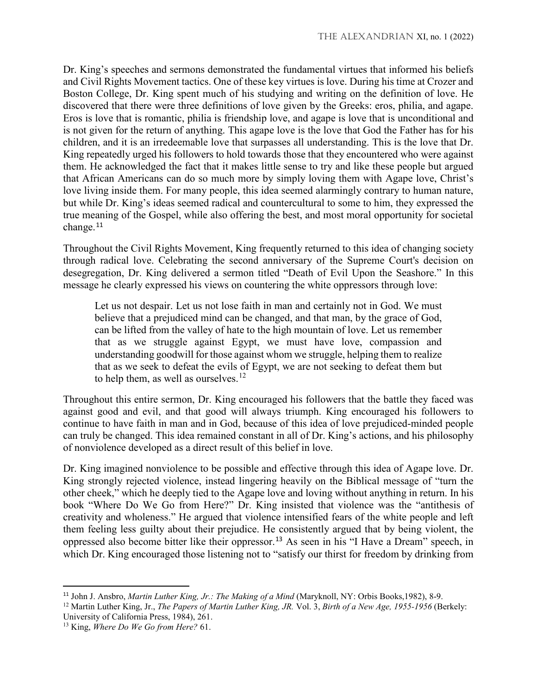Dr. King's speeches and sermons demonstrated the fundamental virtues that informed his beliefs and Civil Rights Movement tactics. One of these key virtues is love. During his time at Crozer and Boston College, Dr. King spent much of his studying and writing on the definition of love. He discovered that there were three definitions of love given by the Greeks: eros, philia, and agape. Eros is love that is romantic, philia is friendship love, and agape is love that is unconditional and is not given for the return of anything. This agape love is the love that God the Father has for his children, and it is an irredeemable love that surpasses all understanding. This is the love that Dr. King repeatedly urged his followers to hold towards those that they encountered who were against them. He acknowledged the fact that it makes little sense to try and like these people but argued that African Americans can do so much more by simply loving them with Agape love, Christ's love living inside them. For many people, this idea seemed alarmingly contrary to human nature, but while Dr. King's ideas seemed radical and countercultural to some to him, they expressed the true meaning of the Gospel, while also offering the best, and most moral opportunity for societal change.<sup>[11](#page-2-0)</sup>

Throughout the Civil Rights Movement, King frequently returned to this idea of changing society through radical love. Celebrating the second anniversary of the Supreme Court's decision on desegregation, Dr. King delivered a sermon titled "Death of Evil Upon the Seashore." In this message he clearly expressed his views on countering the white oppressors through love:

Let us not despair. Let us not lose faith in man and certainly not in God. We must believe that a prejudiced mind can be changed, and that man, by the grace of God, can be lifted from the valley of hate to the high mountain of love. Let us remember that as we struggle against Egypt, we must have love, compassion and understanding goodwill for those against whom we struggle, helping them to realize that as we seek to defeat the evils of Egypt, we are not seeking to defeat them but to help them, as well as ourselves.<sup>[12](#page-2-1)</sup>

Throughout this entire sermon, Dr. King encouraged his followers that the battle they faced was against good and evil, and that good will always triumph. King encouraged his followers to continue to have faith in man and in God, because of this idea of love prejudiced-minded people can truly be changed. This idea remained constant in all of Dr. King's actions, and his philosophy of nonviolence developed as a direct result of this belief in love.

Dr. King imagined nonviolence to be possible and effective through this idea of Agape love. Dr. King strongly rejected violence, instead lingering heavily on the Biblical message of "turn the other cheek," which he deeply tied to the Agape love and loving without anything in return. In his book "Where Do We Go from Here?" Dr. King insisted that violence was the "antithesis of creativity and wholeness." He argued that violence intensified fears of the white people and left them feeling less guilty about their prejudice. He consistently argued that by being violent, the oppressed also become bitter like their oppressor.[13](#page-2-2) As seen in his "I Have a Dream" speech, in which Dr. King encouraged those listening not to "satisfy our thirst for freedom by drinking from

<span id="page-2-0"></span> <sup>11</sup> John J. Ansbro, *Martin Luther King, Jr.: The Making of a Mind* (Maryknoll, NY: Orbis Books,1982), 8-9.

<span id="page-2-1"></span><sup>12</sup> Martin Luther King, Jr., *The Papers of Martin Luther King, JR.* Vol. 3, *Birth of a New Age, 1955-1956* (Berkely: University of California Press, 1984), 261.

<span id="page-2-2"></span><sup>13</sup> King, *Where Do We Go from Here?* 61.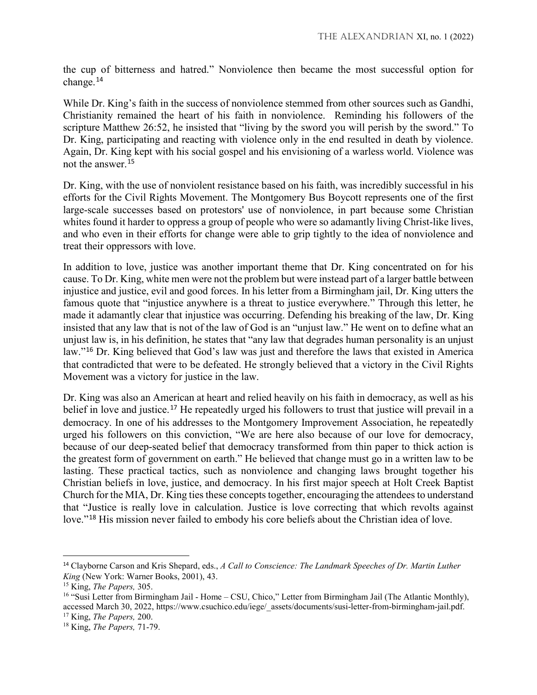the cup of bitterness and hatred." Nonviolence then became the most successful option for change.[14](#page-3-0)

While Dr. King's faith in the success of nonviolence stemmed from other sources such as Gandhi, Christianity remained the heart of his faith in nonviolence. Reminding his followers of the scripture Matthew 26:52, he insisted that "living by the sword you will perish by the sword." To Dr. King, participating and reacting with violence only in the end resulted in death by violence. Again, Dr. King kept with his social gospel and his envisioning of a warless world. Violence was not the answer.[15](#page-3-1)

Dr. King, with the use of nonviolent resistance based on his faith, was incredibly successful in his efforts for the Civil Rights Movement. The Montgomery Bus Boycott represents one of the first large-scale successes based on protestors' use of nonviolence, in part because some Christian whites found it harder to oppress a group of people who were so adamantly living Christ-like lives, and who even in their efforts for change were able to grip tightly to the idea of nonviolence and treat their oppressors with love.

In addition to love, justice was another important theme that Dr. King concentrated on for his cause. To Dr. King, white men were not the problem but were instead part of a larger battle between injustice and justice, evil and good forces. In his letter from a Birmingham jail, Dr. King utters the famous quote that "injustice anywhere is a threat to justice everywhere." Through this letter, he made it adamantly clear that injustice was occurring. Defending his breaking of the law, Dr. King insisted that any law that is not of the law of God is an "unjust law." He went on to define what an unjust law is, in his definition, he states that "any law that degrades human personality is an unjust law."[16](#page-3-2) Dr. King believed that God's law was just and therefore the laws that existed in America that contradicted that were to be defeated. He strongly believed that a victory in the Civil Rights Movement was a victory for justice in the law.

Dr. King was also an American at heart and relied heavily on his faith in democracy, as well as his belief in love and justice.<sup>[17](#page-3-3)</sup> He repeatedly urged his followers to trust that justice will prevail in a democracy. In one of his addresses to the Montgomery Improvement Association, he repeatedly urged his followers on this conviction, "We are here also because of our love for democracy, because of our deep-seated belief that democracy transformed from thin paper to thick action is the greatest form of government on earth." He believed that change must go in a written law to be lasting. These practical tactics, such as nonviolence and changing laws brought together his Christian beliefs in love, justice, and democracy. In his first major speech at Holt Creek Baptist Church for the MIA, Dr. King ties these concepts together, encouraging the attendees to understand that "Justice is really love in calculation. Justice is love correcting that which revolts against love."[18](#page-3-4) His mission never failed to embody his core beliefs about the Christian idea of love.

<span id="page-3-0"></span> <sup>14</sup> Clayborne Carson and Kris Shepard, eds., *A Call to Conscience: The Landmark Speeches of Dr. Martin Luther King* (New York: Warner Books, 2001), 43.

<span id="page-3-1"></span><sup>15</sup> King, *The Papers,* 305.

<span id="page-3-2"></span><sup>&</sup>lt;sup>16</sup> "Susi Letter from Birmingham Jail - Home – CSU, Chico," Letter from Birmingham Jail (The Atlantic Monthly), accessed March 30, 2022, https://www.csuchico.edu/iege/\_assets/documents/susi-letter-from-birmingham-jail.pdf.

<span id="page-3-3"></span><sup>17</sup> King, *The Papers,* 200.

<span id="page-3-4"></span><sup>18</sup> King, *The Papers,* 71-79.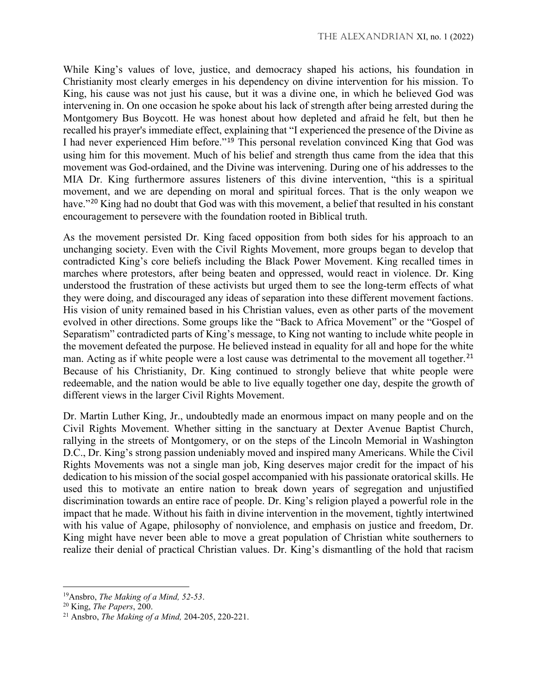While King's values of love, justice, and democracy shaped his actions, his foundation in Christianity most clearly emerges in his dependency on divine intervention for his mission. To King, his cause was not just his cause, but it was a divine one, in which he believed God was intervening in. On one occasion he spoke about his lack of strength after being arrested during the Montgomery Bus Boycott. He was honest about how depleted and afraid he felt, but then he recalled his prayer's immediate effect, explaining that "I experienced the presence of the Divine as I had never experienced Him before."[19](#page-4-0) This personal revelation convinced King that God was using him for this movement. Much of his belief and strength thus came from the idea that this movement was God-ordained, and the Divine was intervening. During one of his addresses to the MIA Dr. King furthermore assures listeners of this divine intervention, "this is a spiritual movement, and we are depending on moral and spiritual forces. That is the only weapon we have."<sup>[20](#page-4-1)</sup> King had no doubt that God was with this movement, a belief that resulted in his constant encouragement to persevere with the foundation rooted in Biblical truth.

As the movement persisted Dr. King faced opposition from both sides for his approach to an unchanging society. Even with the Civil Rights Movement, more groups began to develop that contradicted King's core beliefs including the Black Power Movement. King recalled times in marches where protestors, after being beaten and oppressed, would react in violence. Dr. King understood the frustration of these activists but urged them to see the long-term effects of what they were doing, and discouraged any ideas of separation into these different movement factions. His vision of unity remained based in his Christian values, even as other parts of the movement evolved in other directions. Some groups like the "Back to Africa Movement" or the "Gospel of Separatism" contradicted parts of King's message, to King not wanting to include white people in the movement defeated the purpose. He believed instead in equality for all and hope for the white man. Acting as if white people were a lost cause was detrimental to the movement all together.<sup>[21](#page-4-2)</sup> Because of his Christianity, Dr. King continued to strongly believe that white people were redeemable, and the nation would be able to live equally together one day, despite the growth of different views in the larger Civil Rights Movement.

Dr. Martin Luther King, Jr., undoubtedly made an enormous impact on many people and on the Civil Rights Movement. Whether sitting in the sanctuary at Dexter Avenue Baptist Church, rallying in the streets of Montgomery, or on the steps of the Lincoln Memorial in Washington D.C., Dr. King's strong passion undeniably moved and inspired many Americans. While the Civil Rights Movements was not a single man job, King deserves major credit for the impact of his dedication to his mission of the social gospel accompanied with his passionate oratorical skills. He used this to motivate an entire nation to break down years of segregation and unjustified discrimination towards an entire race of people. Dr. King's religion played a powerful role in the impact that he made. Without his faith in divine intervention in the movement, tightly intertwined with his value of Agape, philosophy of nonviolence, and emphasis on justice and freedom, Dr. King might have never been able to move a great population of Christian white southerners to realize their denial of practical Christian values. Dr. King's dismantling of the hold that racism

l

<span id="page-4-0"></span><sup>19</sup>Ansbro, *The Making of a Mind, 52-53*.

<span id="page-4-1"></span><sup>20</sup> King, *The Papers*, 200.

<span id="page-4-2"></span><sup>21</sup> Ansbro, *The Making of a Mind,* 204-205, 220-221.